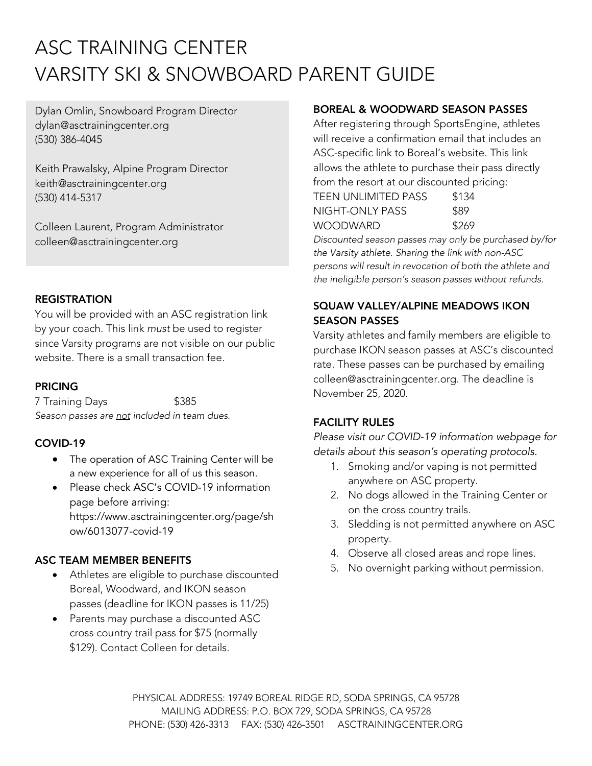# ASC TRAINING CENTER VARSITY SKI & SNOWBOARD PARENT GUIDE

Dylan Omlin, Snowboard Program Director dylan@asctrainingcenter.org (530) 386-4045

Keith Prawalsky, Alpine Program Director keith@asctrainingcenter.org (530) 414-5317

Colleen Laurent, Program Administrator colleen@asctrainingcenter.org

#### **REGISTRATION**

You will be provided with an ASC registration link by your coach. This link *must* be used to register since Varsity programs are not visible on our public website. There is a small transaction fee.

## PRICING

7 Training Days **\$385** *Season passes are not included in team dues.*

## COVID-19

- The operation of ASC Training Center will be a new experience for all of us this season.
- Please check ASC's COVID-19 information page before arriving: https://www.asctrainingcenter.org/page/sh ow/6013077-covid-19

## ASC TEAM MEMBER BENEFITS

- Athletes are eligible to purchase discounted Boreal, Woodward, and IKON season passes (deadline for IKON passes is 11/25)
- Parents may purchase a discounted ASC cross country trail pass for \$75 (normally \$129). Contact Colleen for details.

## BOREAL & WOODWARD SEASON PASSES

After registering through SportsEngine, athletes will receive a confirmation email that includes an ASC-specific link to Boreal's website. This link allows the athlete to purchase their pass directly from the resort at our discounted pricing:

| TEEN UNLIMITED PASS | \$134 |
|---------------------|-------|
| NIGHT-ONI Y PASS    | \$89  |
| WOODWARD            | \$269 |

*Discounted season passes may only be purchased by/for the Varsity athlete. Sharing the link with non-ASC persons will result in revocation of both the athlete and the ineligible person's season passes without refunds.*

## SQUAW VALLEY/ALPINE MEADOWS IKON SEASON PASSES

Varsity athletes and family members are eligible to purchase IKON season passes at ASC's discounted rate. These passes can be purchased by emailing colleen@asctrainingcenter.org. The deadline is November 25, 2020.

## FACILITY RULES

*Please visit our COVID-19 information webpage for details about this season's operating protocols.*

- 1. Smoking and/or vaping is not permitted anywhere on ASC property.
- 2. No dogs allowed in the Training Center or on the cross country trails.
- 3. Sledding is not permitted anywhere on ASC property.
- 4. Observe all closed areas and rope lines.
- 5. No overnight parking without permission.

PHYSICAL ADDRESS: 19749 BOREAL RIDGE RD, SODA SPRINGS, CA 95728 MAILING ADDRESS: P.O. BOX 729, SODA SPRINGS, CA 95728 PHONE: (530) 426-3313 FAX: (530) 426-3501 ASCTRAININGCENTER.ORG